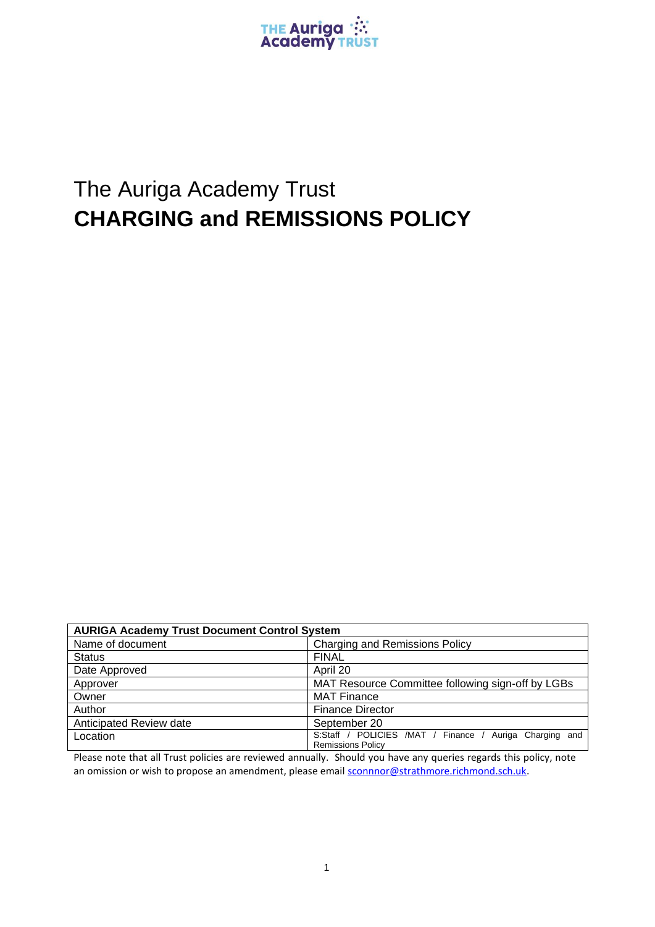

## The Auriga Academy Trust **CHARGING and REMISSIONS POLICY**

| <b>AURIGA Academy Trust Document Control System</b> |                                                                                        |
|-----------------------------------------------------|----------------------------------------------------------------------------------------|
| Name of document                                    | <b>Charging and Remissions Policy</b>                                                  |
| <b>Status</b>                                       | <b>FINAL</b>                                                                           |
| Date Approved                                       | April 20                                                                               |
| Approver                                            | MAT Resource Committee following sign-off by LGBs                                      |
| Owner                                               | <b>MAT Finance</b>                                                                     |
| Author                                              | <b>Finance Director</b>                                                                |
| Anticipated Review date                             | September 20                                                                           |
| Location                                            | S:Staff / POLICIES /MAT / Finance /<br>Auriga Charging and<br><b>Remissions Policy</b> |

Please note that all Trust policies are reviewed annually. Should you have any queries regards this policy, note an omission or wish to propose an amendment, please email [sconnnor@strathmore.richmond.sch.uk.](mailto:sconnnor@strathmore.richmond.sch.uk)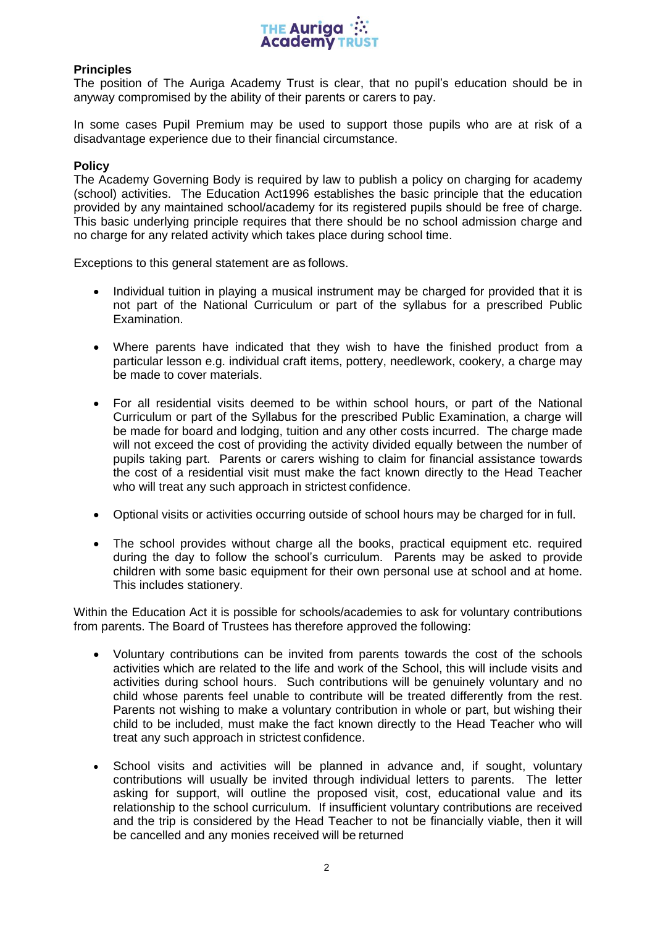

## **Principles**

The position of The Auriga Academy Trust is clear, that no pupil's education should be in anyway compromised by the ability of their parents or carers to pay.

In some cases Pupil Premium may be used to support those pupils who are at risk of a disadvantage experience due to their financial circumstance.

## **Policy**

The Academy Governing Body is required by law to publish a policy on charging for academy (school) activities. The Education Act1996 establishes the basic principle that the education provided by any maintained school/academy for its registered pupils should be free of charge. This basic underlying principle requires that there should be no school admission charge and no charge for any related activity which takes place during school time.

Exceptions to this general statement are as follows.

- Individual tuition in playing a musical instrument may be charged for provided that it is not part of the National Curriculum or part of the syllabus for a prescribed Public Examination.
- Where parents have indicated that they wish to have the finished product from a particular lesson e.g. individual craft items, pottery, needlework, cookery, a charge may be made to cover materials.
- For all residential visits deemed to be within school hours, or part of the National Curriculum or part of the Syllabus for the prescribed Public Examination, a charge will be made for board and lodging, tuition and any other costs incurred. The charge made will not exceed the cost of providing the activity divided equally between the number of pupils taking part. Parents or carers wishing to claim for financial assistance towards the cost of a residential visit must make the fact known directly to the Head Teacher who will treat any such approach in strictest confidence.
- Optional visits or activities occurring outside of school hours may be charged for in full.
- The school provides without charge all the books, practical equipment etc. required during the day to follow the school's curriculum. Parents may be asked to provide children with some basic equipment for their own personal use at school and at home. This includes stationery.

Within the Education Act it is possible for schools/academies to ask for voluntary contributions from parents. The Board of Trustees has therefore approved the following:

- Voluntary contributions can be invited from parents towards the cost of the schools activities which are related to the life and work of the School, this will include visits and activities during school hours. Such contributions will be genuinely voluntary and no child whose parents feel unable to contribute will be treated differently from the rest. Parents not wishing to make a voluntary contribution in whole or part, but wishing their child to be included, must make the fact known directly to the Head Teacher who will treat any such approach in strictest confidence.
- School visits and activities will be planned in advance and, if sought, voluntary contributions will usually be invited through individual letters to parents. The letter asking for support, will outline the proposed visit, cost, educational value and its relationship to the school curriculum. If insufficient voluntary contributions are received and the trip is considered by the Head Teacher to not be financially viable, then it will be cancelled and any monies received will be returned